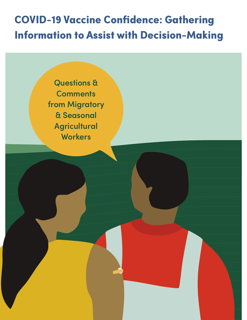# **COVID-19 Vaccine Confidence: Gathering Information to Assist with Decision-Making**

Questions & **Comments** from Migratory & Seasonal **Agricultural Workers**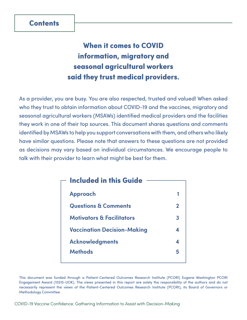## **When it comes to COVID information, migratory and seasonal agricultural workers said they trust medical providers.**

As a provider, you are busy. You are also respected, trusted and valued! When asked who they trust to obtain information about COVID-19 and the vaccines, migratory and seasonal agricultural workers (MSAWs) identified medical providers and the facilities they work in one of their top sources. This document shares questions and comments identified by MSAWs to help you support conversations with them, and others who likely have similar questions. Please note that answers to these questions are not provided as decisions may vary based on individual circumstances. We encourage people to talk with their provider to learn what might be best for them.

| $\overline{\phantom{a}}$ Included in this Guide |             |
|-------------------------------------------------|-------------|
| <b>Approach</b>                                 |             |
| <b>Questions &amp; Comments</b>                 | $\mathbf 2$ |
| <b>Motivators &amp; Facilitators</b>            | 3           |
| <b>Vaccination Decision-Making</b>              | 4           |
| <b>Acknowledgments</b>                          | 4           |
| <b>Methods</b>                                  | 5           |
|                                                 |             |

This document was funded through a Patient-Centered Outcomes Research Institute (PCORI) Eugene Washington PCORI Engagement Award (15515-UOK). The views presented in this report are solely the responsibility of the authors and do not necessarily represent the views of the Patient-Centered Outcomes Research Institute (PCORI), its Board of Governors or Methodology Committee.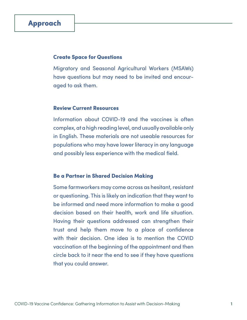## <span id="page-2-0"></span>**Approach**

#### **Create Space for Questions**

Migratory and Seasonal Agricultural Workers (MSAWs) have questions but may need to be invited and encouraged to ask them.

#### **Review Current Resources**

Information about COVID-19 and the vaccines is often complex, at a high reading level, and usually available only in English. These materials are not useable resources for populations who may have lower literacy in any language and possibly less experience with the medical field.

#### **Be a Partner in Shared Decision Making**

Some farmworkers may come across as hesitant, resistant or questioning. This is likely an indication that they want to be informed and need more information to make a good decision based on their health, work and life situation. Having their questions addressed can strengthen their trust and help them move to a place of confidence with their decision. One idea is to mention the COVID vaccination at the beginning of the appointment and then circle back to it near the end to see if they have questions that you could answer.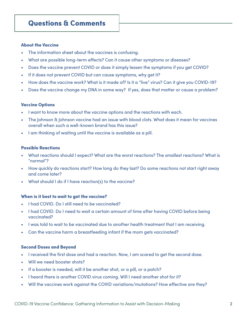#### <span id="page-3-0"></span>**About the Vaccine**

- The information sheet about the vaccines is confusing.
- What are possible long-term effects? Can it cause other symptoms or diseases?
- Does the vaccine prevent COVID or does it simply lessen the symptoms if you get COVID?
- If it does not prevent COVID but can cause symptoms, why get it?
- How does the vaccine work? What is it made of? Is it a "live" virus? Can it give you COVID-19?
- Does the vaccine change my DNA in some way? If yes, does that matter or cause a problem?

#### **Vaccine Options**

- I want to know more about the vaccine options and the reactions with each.
- The Johnson & Johnson vaccine had an issue with blood clots. What does it mean for vaccines overall when such a well-known brand has this issue?
- I am thinking of waiting until the vaccine is available as a pill.

#### **Possible Reactions**

- What reactions should I expect? What are the worst reactions? The smallest reactions? What is "normal"?
- How quickly do reactions start? How long do they last? Do some reactions not start right away and come later?
- What should I do if I have reaction(s) to the vaccine?

#### **When is it best to wait to get the vaccine?**

- I had COVID. Do I still need to be vaccinated?
- I had COVID. Do I need to wait a certain amount of time after having COVID before being vaccinated?
- I was told to wait to be vaccinated due to another health treatment that I am receiving.
- Can the vaccine harm a breastfeeding infant if the mom gets vaccinated?

#### **Second Doses and Beyond**

- I received the first dose and had a reaction. Now, I am scared to get the second dose.
- Will we need booster shots?
- If a booster is needed, will it be another shot, or a pill, or a patch?
- I heard there is another COVID virus coming. Will I need another shot for it?
- Will the vaccines work against the COVID variations/mutations? How effective are they?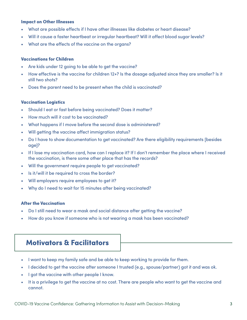#### <span id="page-4-0"></span>**Impact on Other Illnesses**

- What are possible effects if I have other illnesses like diabetes or heart disease?
- Will it cause a faster heartbeat or irregular heartbeat? Will it affect blood sugar levels?
- What are the effects of the vaccine on the organs?

#### **Vaccinations for Children**

- Are kids under 12 going to be able to get the vaccine?
- How effective is the vaccine for children 12+? Is the dosage adjusted since they are smaller? Is it still two shots?
- Does the parent need to be present when the child is vaccinated?

#### **Vaccination Logistics**

- Should I eat or fast before being vaccinated? Does it matter?
- How much will it cost to be vaccinated?
- What happens if I move before the second dose is administered?
- Will getting the vaccine affect immigration status?
- Do I have to show documentation to get vaccinated? Are there eligibility requirements [besides age]?
- If I lose my vaccination card, how can I replace it? If I don't remember the place where I received the vaccination, is there some other place that has the records?
- Will the government require people to get vaccinated?
- Is it/will it be required to cross the border?
- Will employers require employees to get it?
- Why do I need to wait for 15 minutes after being vaccinated?

#### **After the Vaccination**

- Do I still need to wear a mask and social distance after getting the vaccine?
- How do you know if someone who is not wearing a mask has been vaccinated?

## **Motivators & Facilitators**

- I want to keep my family safe and be able to keep working to provide for them.
- I decided to get the vaccine after someone I trusted (e.g., spouse/partner) got it and was ok.
- I got the vaccine with other people I know.
- It is a privilege to get the vaccine at no cost. There are people who want to get the vaccine and cannot.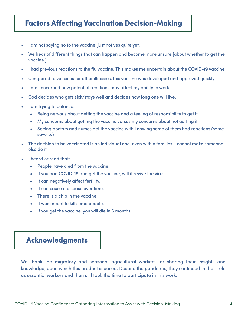## <span id="page-5-0"></span>**Factors Affecting Vaccination Decision-Making**

- I am not saying no to the vaccine, just not yes quite yet.
- We hear of different things that can happen and become more unsure [about whether to get the vaccine.]
- I had previous reactions to the flu vaccine. This makes me uncertain about the COVID-19 vaccine.
- Compared to vaccines for other illnesses, this vaccine was developed and approved quickly.
- I am concerned how potential reactions may affect my ability to work.
- God decides who gets sick/stays well and decides how long one will live.
- I am trying to balance:
	- Being nervous about getting the vaccine and a feeling of responsibility to get it.
	- My concerns about getting the vaccine versus my concerns about not getting it.
	- Seeing doctors and nurses get the vaccine with knowing some of them had reactions (some severe.)
- The decision to be vaccinated is an individual one, even within families. I cannot make someone else do it.
- I heard or read that:
	- People have died from the vaccine.
	- If you had COVID-19 and get the vaccine, will it revive the virus.
	- It can negatively affect fertility.
	- It can cause a disease over time.
	- There is a chip in the vaccine.
	- It was meant to kill some people.
	- If you get the vaccine, you will die in 6 months.

## **Acknowledgments**

We thank the migratory and seasonal agricultural workers for sharing their insights and knowledge, upon which this product is based. Despite the pandemic, they continued in their role as essential workers and then still took the time to participate in this work.